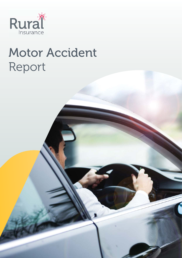

# Motor Accident Report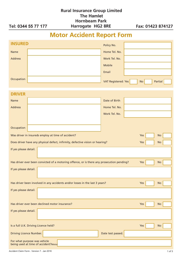|                     | <b>Rural Insurance Group Limited</b> |                   |
|---------------------|--------------------------------------|-------------------|
|                     | The Hamlet                           |                   |
|                     | <b>Hornbeam Park</b>                 |                   |
| Tel: 0344 55 77 177 | Harrogate HG2 8RE                    | Fax: 01423 874127 |

## **Motor Accident Report Form**

| <b>INSURED</b>                                                                             | Policy No.                                         |
|--------------------------------------------------------------------------------------------|----------------------------------------------------|
| <b>Name</b>                                                                                | Home Tel. No.                                      |
| <b>Address</b>                                                                             | Work Tel. No.                                      |
|                                                                                            | <b>Mobile</b>                                      |
|                                                                                            | Email                                              |
| Occupation                                                                                 | <b>VAT Registered: Yes</b><br>Partial<br><b>No</b> |
| <b>DRIVER</b>                                                                              |                                                    |
| <b>Name</b>                                                                                | Date of Birth                                      |
| <b>Address</b>                                                                             | Home Tel. No.                                      |
|                                                                                            | Work Tel. No.                                      |
|                                                                                            |                                                    |
| Occupation                                                                                 |                                                    |
| Was driver in insureds employ at time of accident?                                         | Yes<br><b>No</b>                                   |
| Does driver have any physical defect, infirmity, defective vision or hearing?              | Yes<br>No                                          |
| If yes please detail.                                                                      |                                                    |
|                                                                                            |                                                    |
| Has driver ever been convicted of a motoring offence, or is there any prosecution pending? | Yes<br>No                                          |
| If yes please detail.                                                                      |                                                    |
|                                                                                            |                                                    |
| Has driver been involved in any accidents and/or losses in the last 3 years?               | Yes<br><b>No</b>                                   |
| If yes please detail.                                                                      |                                                    |
|                                                                                            |                                                    |
| Has driver ever been declined motor insurance?                                             | Yes<br><b>No</b>                                   |
| If yes please detail.                                                                      |                                                    |
|                                                                                            |                                                    |
| Is a full U.K. Driving Licence held?                                                       | Yes<br><b>No</b>                                   |
| <b>Driving Licence Number.</b>                                                             | Date test passed.                                  |
| For what purpose was vehicle<br>being used at time of accident?Motor                       |                                                    |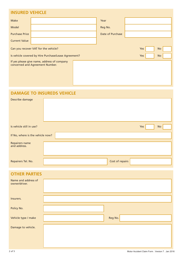#### **INSURED VEHICLE**

| Make                  |                                                                                | Year             |     |           |  |
|-----------------------|--------------------------------------------------------------------------------|------------------|-----|-----------|--|
| Model                 |                                                                                | Reg No.          |     |           |  |
| <b>Purchase Price</b> |                                                                                | Date of Purchase |     |           |  |
| <b>Current Value</b>  |                                                                                |                  |     |           |  |
|                       | Can you recover VAT for the vehicle?                                           |                  | Yes | <b>No</b> |  |
|                       | Is vehicle covered by Hire Purchase/Lease Agreement?                           |                  | Yes | <b>No</b> |  |
|                       | If yes please give name, address of company<br>concerned and Agreement Number. |                  |     |           |  |

### **DAMAGE TO INSUREDS VEHICLE**

| Describe damage                  |  |  |  |                 |     |           |  |
|----------------------------------|--|--|--|-----------------|-----|-----------|--|
| Is vehicle still in use?         |  |  |  |                 | Yes | <b>No</b> |  |
| If No, where is the vehicle now? |  |  |  |                 |     |           |  |
| Repairers name<br>and address.   |  |  |  |                 |     |           |  |
| Repairers Tel. No.               |  |  |  | Cost of repairs |     |           |  |

| <b>OTHER PARTIES</b>                 |         |
|--------------------------------------|---------|
| Name and address of<br>owner/driver. |         |
| Insurers.                            |         |
| Policy No.                           |         |
| Vehicle type / make                  | Reg No. |
| Damage to vehicle.                   |         |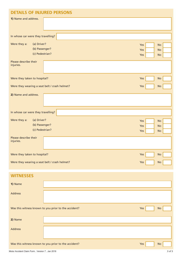| <b>DETAILS OF INJURED PERSONS</b>                                |                   |                                     |
|------------------------------------------------------------------|-------------------|-------------------------------------|
| 1) Name and address.                                             |                   |                                     |
| In whose car were they travelling?                               |                   |                                     |
| Were they a:<br>(a) Driver?<br>(b) Passenger?<br>(c) Pedestrian? | Yes<br>Yes<br>Yes | <b>No</b><br><b>No</b><br><b>No</b> |
| Please describe their<br>injuries.                               |                   |                                     |
| Were they taken to hospital?                                     | Yes               | No                                  |
| Were they wearing a seat belt / crash helmet?                    | Yes               | <b>No</b>                           |
| 2) Name and address.                                             |                   |                                     |
| In whose car were they travelling?                               |                   |                                     |
| (a) Driver?<br>Were they a:<br>(b) Passenger?<br>(c) Pedestrian? | Yes<br>Yes<br>Yes | <b>No</b><br><b>No</b><br><b>No</b> |
| Please describe their<br>injuries.                               |                   |                                     |
| Were they taken to hospital?                                     | Yes               | No                                  |
| Were they wearing a seat belt / crash helmet?                    | Yes               | No                                  |
| <b>WITNESSES</b>                                                 |                   |                                     |

| 1) Name        |                                                      |     |           |
|----------------|------------------------------------------------------|-----|-----------|
| <b>Address</b> |                                                      |     |           |
|                | Was this witness known to you prior to the accident? | Yes | <b>No</b> |
| 2) Name        |                                                      |     |           |
| <b>Address</b> |                                                      |     |           |
|                | Was this witness known to you prior to the accident? | Yes | <b>No</b> |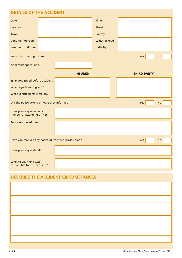| <b>DETAILS OF THE ACCIDENT</b>                              |  |                |               |                    |
|-------------------------------------------------------------|--|----------------|---------------|--------------------|
| <b>Date</b>                                                 |  |                | Time          |                    |
| Location                                                    |  |                | <b>Street</b> |                    |
| Town                                                        |  |                | County        |                    |
| Condition of road                                           |  |                | Width of road |                    |
| <b>Weather conditions</b>                                   |  |                | Visibility    |                    |
| Were the street lights on?                                  |  |                |               | Yes<br>No          |
| Applicable speed limit.                                     |  |                |               |                    |
|                                                             |  | <b>INSURED</b> |               | <b>THIRD PARTY</b> |
| Estimated speed before accident.                            |  |                |               |                    |
| What signals were given?                                    |  |                |               |                    |
| What vehicle lights were on?                                |  |                |               |                    |
| Did the police attend or were they informed?                |  |                |               | No<br>Yes          |
| If yes please give name and<br>number of attending officer. |  |                |               |                    |
| Police station address.                                     |  |                |               |                    |
|                                                             |  |                |               |                    |
| Have you received any notice of intended prosecution?       |  |                |               | <b>No</b><br>Yes   |
| If yes please give details.                                 |  |                |               |                    |
| Who do you think was<br>responsible for the accident?       |  |                |               |                    |

#### **DESCRIBE THE ACCIDENT CIRCUMSTANCES**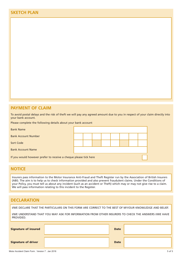#### **PAYMENT OF CLAIM**

To avoid postal delays and the risk of theft we will pay any agreed amount due to you in respect of your claim directly into your bank account.

Please complete the following details about your bank account

| <b>Bank Name</b>                                                 |  |  |  |  |  |  |  |  |
|------------------------------------------------------------------|--|--|--|--|--|--|--|--|
| <b>Bank Account Number</b>                                       |  |  |  |  |  |  |  |  |
| Sort Code                                                        |  |  |  |  |  |  |  |  |
| <b>Bank Account Name</b>                                         |  |  |  |  |  |  |  |  |
| If you would however prefer to receive a cheque please tick here |  |  |  |  |  |  |  |  |

#### **NOTICE**

Insurers pass information to the Motor Insurance Anti-Fraud and Theft Register run by the Association of British Insurers (ABI). The aim is to help us to check information provided and also prevent fraudulent claims. Under the Conditions of your Policy, you must tell us about any incident (such as an accident or Theft) which may or may not give rise to a claim. We will pass information relating to this incident to the Register.

#### **DECLARATION**

I/WE DECLARE THAT THE PARTICULARS ON THIS FORM ARE CORRECT TO THE BEST OF MY/OUR KNOWLEDGE AND BELIEF.

I/WE UNDERSTAND THAT YOU MAY ASK FOR INFORMATION FROM OTHER INSURERS TO CHECK THE ANSWERS I/WE HAVE PROVIDED.

| <b>Signature of insured</b> | <b>Date</b> |  |
|-----------------------------|-------------|--|
| <b>Signature of driver</b>  | <b>Date</b> |  |